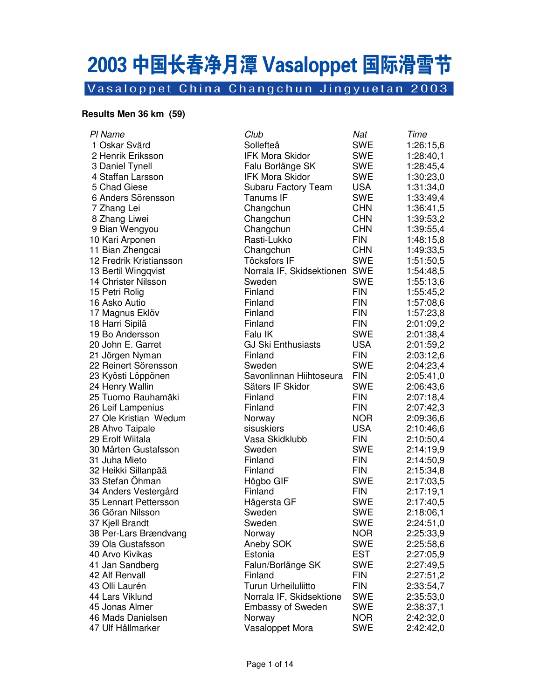# 2003 中国长春净月潭 Vasaloppet 国际滑雪节

Vasaloppet China Changchun Jingyuetan 2003

#### **Results Men 36 km (59)**

| PI Name                 | Club                          | Nat        | Time      |
|-------------------------|-------------------------------|------------|-----------|
| 1 Oskar Svärd           | Sollefteå                     | <b>SWE</b> | 1:26:15,6 |
| 2 Henrik Eriksson       | <b>IFK Mora Skidor</b>        | <b>SWE</b> | 1:28:40,1 |
| 3 Daniel Tynell         | Falu Borlänge SK              | <b>SWE</b> | 1:28:45,4 |
| 4 Staffan Larsson       | <b>IFK Mora Skidor</b>        | <b>SWE</b> | 1:30:23,0 |
| 5 Chad Giese            | Subaru Factory Team           | <b>USA</b> | 1:31:34,0 |
| 6 Anders Sörensson      | Tanums IF                     | <b>SWE</b> | 1:33:49,4 |
| 7 Zhang Lei             | Changchun                     | <b>CHN</b> | 1:36:41,5 |
| 8 Zhang Liwei           | Changchun                     | <b>CHN</b> | 1:39:53,2 |
| 9 Bian Wengyou          | Changchun                     | <b>CHN</b> | 1:39:55,4 |
| 10 Kari Arponen         | Rasti-Lukko                   | <b>FIN</b> | 1:48:15,8 |
| 11 Bian Zhengcai        | Changchun                     | <b>CHN</b> | 1:49:33,5 |
| 12 Fredrik Kristiansson | <b>Töcksfors IF</b>           | <b>SWE</b> | 1:51:50,5 |
| 13 Bertil Wingqvist     | Norrala IF, Skidsektionen SWE |            | 1:54:48,5 |
| 14 Christer Nilsson     | Sweden                        | <b>SWE</b> | 1:55:13,6 |
| 15 Petri Rolig          | Finland                       | <b>FIN</b> | 1:55:45,2 |
| 16 Asko Autio           | Finland                       | <b>FIN</b> | 1:57:08,6 |
| 17 Magnus Eklöv         | Finland                       | <b>FIN</b> | 1:57:23,8 |
| 18 Harri Sipilä         | Finland                       | <b>FIN</b> | 2:01:09,2 |
| 19 Bo Andersson         | Falu IK                       | SWE        | 2:01:38,4 |
| 20 John E. Garret       | <b>GJ Ski Enthusiasts</b>     | <b>USA</b> | 2:01:59,2 |
| 21 Jörgen Nyman         | Finland                       | <b>FIN</b> | 2:03:12,6 |
| 22 Reinert Sörensson    | Sweden                        | <b>SWE</b> | 2:04:23,4 |
| 23 Kyösti Löppönen      | Savonlinnan Hiihtoseura       | <b>FIN</b> | 2:05:41,0 |
| 24 Henry Wallin         | Säters IF Skidor              | <b>SWE</b> | 2:06:43,6 |
| 25 Tuomo Rauhamäki      | Finland                       | <b>FIN</b> | 2:07:18,4 |
| 26 Leif Lampenius       | Finland                       | <b>FIN</b> | 2:07:42,3 |
| 27 Ole Kristian Wedum   | Norway                        | <b>NOR</b> | 2:09:36,6 |
| 28 Ahvo Taipale         | sisuskiers                    | <b>USA</b> | 2:10:46,6 |
| 29 Erolf Wiitala        | Vasa Skidklubb                | <b>FIN</b> | 2:10:50,4 |
| 30 Mårten Gustafsson    | Sweden                        | <b>SWE</b> | 2:14:19,9 |
| 31 Juha Mieto           | Finland                       | <b>FIN</b> | 2:14:50,9 |
| 32 Heikki Sillanpää     | Finland                       | <b>FIN</b> | 2:15:34,8 |
| 33 Stefan Öhman         | Högbo GIF                     | <b>SWE</b> | 2:17:03,5 |
| 34 Anders Vestergård    | Finland                       | <b>FIN</b> | 2:17:19,1 |
| 35 Lennart Pettersson   | Hägersta GF                   | <b>SWE</b> | 2:17:40,5 |
| 36 Göran Nilsson        | Sweden                        | <b>SWE</b> | 2:18:06,1 |
| 37 Kjell Brandt         | Sweden                        | <b>SWE</b> | 2:24:51,0 |
| 38 Per-Lars Brændvang   | Norway                        | <b>NOR</b> | 2:25:33,9 |
| 39 Ola Gustafsson       | Aneby SOK                     | <b>SWE</b> | 2:25:58,6 |
| 40 Arvo Kivikas         | Estonia                       | <b>EST</b> | 2:27:05,9 |
| 41 Jan Sandberg         | Falun/Borlänge SK             | <b>SWE</b> | 2:27:49,5 |
| 42 Alf Renvall          | Finland                       | <b>FIN</b> | 2:27:51,2 |
| 43 Olli Laurén          | <b>Turun Urheiluliitto</b>    | <b>FIN</b> | 2:33:54,7 |
| 44 Lars Viklund         | Norrala IF, Skidsektione      | <b>SWE</b> | 2:35:53,0 |
| 45 Jonas Almer          | <b>Embassy of Sweden</b>      | <b>SWE</b> | 2:38:37,1 |
| 46 Mads Danielsen       | Norway                        | <b>NOR</b> | 2:42:32,0 |
| 47 Ulf Hållmarker       | Vasaloppet Mora               | <b>SWE</b> | 2:42:42,0 |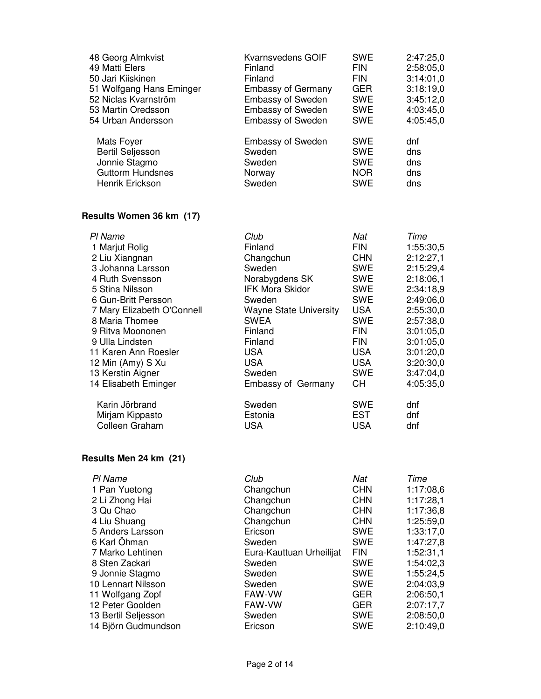| 48 Georg Almkvist        | Kvarnsvedens GOIF         | <b>SWE</b> | 2:47:25,0 |
|--------------------------|---------------------------|------------|-----------|
| 49 Matti Elers           | Finland                   | <b>FIN</b> | 2:58:05,0 |
| 50 Jari Kiiskinen        | Finland                   | <b>FIN</b> | 3:14:01.0 |
| 51 Wolfgang Hans Eminger | <b>Embassy of Germany</b> | <b>GER</b> | 3:18:19,0 |
| 52 Niclas Kvarnström     | <b>Embassy of Sweden</b>  | <b>SWE</b> | 3:45:12,0 |
| 53 Martin Oredsson       | <b>Embassy of Sweden</b>  | <b>SWE</b> | 4:03:45,0 |
| 54 Urban Andersson       | <b>Embassy of Sweden</b>  | <b>SWE</b> | 4:05:45,0 |
| Mats Foyer               | <b>Embassy of Sweden</b>  | <b>SWE</b> | dnf       |
| <b>Bertil Seljesson</b>  | Sweden                    | <b>SWE</b> | dns       |
| Jonnie Stagmo            | Sweden                    | <b>SWE</b> | dns       |
| <b>Guttorm Hundsnes</b>  | Norway                    | <b>NOR</b> | dns       |
| Henrik Erickson          | Sweden                    | <b>SWE</b> | dns       |

## **Results Women 36 km (17)**

| PI Name                    | Club                          | Nat        | Time      |
|----------------------------|-------------------------------|------------|-----------|
| 1 Marjut Rolig             | Finland                       | <b>FIN</b> | 1:55:30,5 |
| 2 Liu Xiangnan             | Changchun                     | <b>CHN</b> | 2:12:27,1 |
| 3 Johanna Larsson          | Sweden                        | <b>SWE</b> | 2:15:29,4 |
| 4 Ruth Svensson            | Norabygdens SK                | <b>SWE</b> | 2:18:06,1 |
| 5 Stina Nilsson            | <b>IFK Mora Skidor</b>        | <b>SWE</b> | 2:34:18.9 |
| 6 Gun-Britt Persson        | Sweden                        | <b>SWE</b> | 2:49:06,0 |
| 7 Mary Elizabeth O'Connell | <b>Wayne State University</b> | <b>USA</b> | 2:55:30,0 |
| 8 Maria Thomee             | <b>SWEA</b>                   | <b>SWE</b> | 2:57:38,0 |
| 9 Ritva Moononen           | Finland                       | <b>FIN</b> | 3:01:05,0 |
| 9 Ulla Lindsten            | Finland                       | <b>FIN</b> | 3:01:05,0 |
| 11 Karen Ann Roesler       | <b>USA</b>                    | <b>USA</b> | 3:01:20,0 |
| 12 Min (Amy) S Xu          | <b>USA</b>                    | <b>USA</b> | 3:20:30,0 |
| 13 Kerstin Aigner          | Sweden                        | <b>SWE</b> | 3:47:04,0 |
| 14 Elisabeth Eminger       | <b>Embassy of Germany</b>     | CH         | 4:05:35,0 |
| Karin Jörbrand             | Sweden                        | <b>SWE</b> | dnf       |
| Mirjam Kippasto            | Estonia                       | <b>EST</b> | dnf       |
| Colleen Graham             | <b>USA</b>                    | <b>USA</b> | dnf       |

#### **Results Men 24 km (21)**

| PI Name             | Club                     | Nat        | Time      |
|---------------------|--------------------------|------------|-----------|
| 1 Pan Yuetong       | Changchun                | <b>CHN</b> | 1:17:08,6 |
| 2 Li Zhong Hai      | Changchun                | <b>CHN</b> | 1:17:28,1 |
| 3 Qu Chao           | Changchun                | <b>CHN</b> | 1:17:36,8 |
| 4 Liu Shuang        | Changchun                | <b>CHN</b> | 1:25:59,0 |
| 5 Anders Larsson    | Ericson                  | <b>SWE</b> | 1:33:17,0 |
| 6 Karl Öhman        | Sweden                   | <b>SWE</b> | 1:47:27,8 |
| 7 Marko Lehtinen    | Eura-Kauttuan Urheilijat | <b>FIN</b> | 1:52:31,1 |
| 8 Sten Zackari      | Sweden                   | <b>SWE</b> | 1:54:02.3 |
| 9 Jonnie Stagmo     | Sweden                   | <b>SWE</b> | 1:55:24,5 |
| 10 Lennart Nilsson  | Sweden                   | <b>SWE</b> | 2:04:03,9 |
| 11 Wolfgang Zopf    | FAW-VW                   | <b>GER</b> | 2:06:50.1 |
| 12 Peter Goolden    | <b>FAW-VW</b>            | <b>GER</b> | 2:07:17,7 |
| 13 Bertil Seljesson | Sweden                   | <b>SWE</b> | 2:08:50,0 |
| 14 Björn Gudmundson | Ericson                  | <b>SWE</b> | 2:10:49.0 |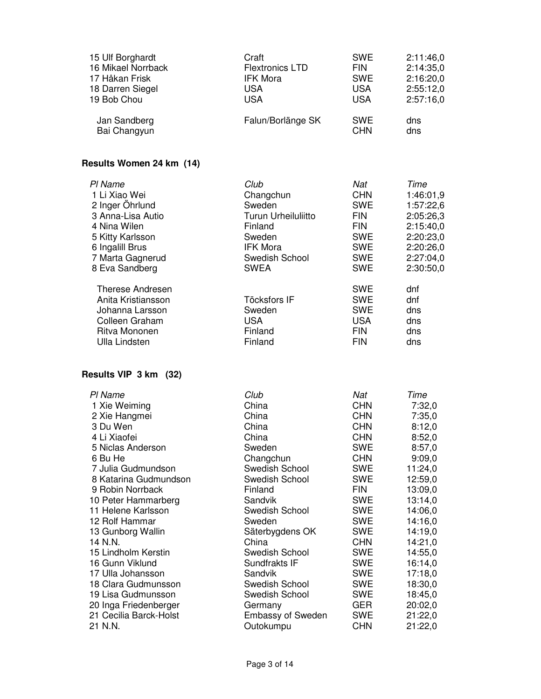| 15 Ulf Borghardt                                                                                                            | Craft                                                             | <b>SWE</b>                                                                       | 2:11:46,0                              |
|-----------------------------------------------------------------------------------------------------------------------------|-------------------------------------------------------------------|----------------------------------------------------------------------------------|----------------------------------------|
| 16 Mikael Norrback                                                                                                          | <b>Flextronics LTD</b>                                            | <b>FIN</b>                                                                       | 2:14:35,0                              |
| 17 Håkan Frisk                                                                                                              | IFK Mora                                                          | <b>SWE</b>                                                                       | 2:16:20,0                              |
| 18 Darren Siegel                                                                                                            | <b>USA</b>                                                        | <b>USA</b>                                                                       | 2:55:12,0                              |
| 19 Bob Chou                                                                                                                 | <b>USA</b>                                                        | <b>USA</b>                                                                       | 2:57:16,0                              |
| Jan Sandberg                                                                                                                | Falun/Borlänge SK                                                 | <b>SWE</b>                                                                       | dns                                    |
| Bai Changyun                                                                                                                |                                                                   | <b>CHN</b>                                                                       | dns                                    |
| Results Women 24 km (14)                                                                                                    |                                                                   |                                                                                  |                                        |
| PI Name                                                                                                                     | Club                                                              | Nat                                                                              | Time                                   |
| 1 Li Xiao Wei                                                                                                               | Changchun                                                         | <b>CHN</b>                                                                       | 1:46:01,9                              |
| 2 Inger Öhrlund                                                                                                             | Sweden                                                            | <b>SWE</b>                                                                       | 1:57:22,6                              |
| 3 Anna-Lisa Autio                                                                                                           | <b>Turun Urheiluliitto</b>                                        | <b>FIN</b>                                                                       | 2:05:26,3                              |
| 4 Nina Wilen                                                                                                                | Finland                                                           | <b>FIN</b>                                                                       | 2:15:40,0                              |
| 5 Kitty Karlsson                                                                                                            | Sweden                                                            | <b>SWE</b>                                                                       | 2:20:23,0                              |
| 6 Ingalill Brus                                                                                                             | <b>IFK Mora</b>                                                   | <b>SWE</b>                                                                       | 2:20:26,0                              |
| 7 Marta Gagnerud                                                                                                            | Swedish School                                                    | <b>SWE</b>                                                                       | 2:27:04,0                              |
| 8 Eva Sandberg                                                                                                              | <b>SWEA</b>                                                       | <b>SWE</b>                                                                       | 2:30:50,0                              |
| <b>Therese Andresen</b><br>Anita Kristiansson<br>Johanna Larsson<br>Colleen Graham<br>Ritva Mononen<br><b>Ulla Lindsten</b> | <b>Töcksfors IF</b><br>Sweden<br><b>USA</b><br>Finland<br>Finland | <b>SWE</b><br><b>SWE</b><br><b>SWE</b><br><b>USA</b><br><b>FIN</b><br><b>FIN</b> | dnf<br>dnf<br>dns<br>dns<br>dns<br>dns |
| Results VIP 3 km (32)                                                                                                       |                                                                   |                                                                                  |                                        |
| PI Name                                                                                                                     | Club                                                              | Nat                                                                              | Time                                   |
| 1 Xie Weiming                                                                                                               | China                                                             | <b>CHN</b>                                                                       | 7:32,0                                 |
| 2 Xie Hangmei                                                                                                               | China                                                             | <b>CHN</b>                                                                       | 7:35,0                                 |
| 3 Du Wen                                                                                                                    | China                                                             | <b>CHN</b>                                                                       | 8:12,0                                 |
| 4 Li Xiaofei                                                                                                                | China                                                             | <b>CHN</b>                                                                       | 8:52,0                                 |
| 5 Niclas Anderson                                                                                                           | Sweden                                                            | <b>SWE</b>                                                                       | 8:57,0                                 |
| 6 Bu He                                                                                                                     | Changchun                                                         | <b>CHN</b>                                                                       | 9:09,0                                 |
| 7 Julia Gudmundson                                                                                                          | Swedish School                                                    | <b>SWE</b>                                                                       | 11:24,0                                |
| 8 Katarina Gudmundson                                                                                                       | Swedish School                                                    | <b>SWE</b>                                                                       | 12:59,0                                |
| 9 Robin Norrback                                                                                                            | Finland                                                           | <b>FIN</b>                                                                       | 13:09,0                                |
| 10 Peter Hammarberg                                                                                                         | Sandvik                                                           | <b>SWE</b>                                                                       | 13:14,0                                |
| 11 Helene Karlsson                                                                                                          | Swedish School                                                    | SWE                                                                              | 14:06,0                                |
| 12 Rolf Hammar                                                                                                              | Sweden                                                            | <b>SWE</b>                                                                       | 14:16,0                                |
| 13 Gunborg Wallin                                                                                                           | Säterbygdens OK                                                   | <b>SWE</b>                                                                       | 14:19,0                                |
| 14 N.N.                                                                                                                     | China                                                             | <b>CHN</b>                                                                       | 14:21,0                                |
| 15 Lindholm Kerstin                                                                                                         | Swedish School                                                    | <b>SWE</b>                                                                       | 14:55,0                                |
| 16 Gunn Viklund                                                                                                             | Sundfrakts IF                                                     | <b>SWE</b>                                                                       | 16:14,0                                |
| 17 Ulla Johansson                                                                                                           | Sandvik                                                           | SWE                                                                              | 17:18,0                                |
| 18 Clara Gudmunsson                                                                                                         | Swedish School                                                    | SWE                                                                              | 18:30,0                                |
| 19 Lisa Gudmunsson                                                                                                          | Swedish School                                                    | SWE                                                                              | 18:45,0                                |
| 20 Inga Friedenberger                                                                                                       | Germany                                                           | <b>GER</b>                                                                       | 20:02,0                                |
| 21 Cecilia Barck-Holst                                                                                                      | <b>Embassy of Sweden</b>                                          | SWE                                                                              | 21:22,0                                |
| 21 N.N.                                                                                                                     | Outokumpu                                                         | <b>CHN</b>                                                                       | 21:22,0                                |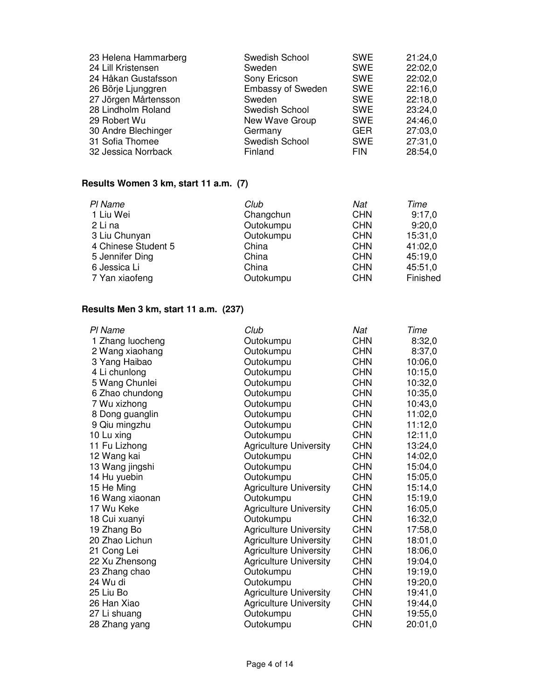| 23 Helena Hammarberg | Swedish School           | <b>SWE</b> | 21:24.0 |
|----------------------|--------------------------|------------|---------|
| 24 Lill Kristensen   | Sweden                   | <b>SWE</b> | 22:02.0 |
| 24 Håkan Gustafsson  | Sony Ericson             | <b>SWE</b> | 22:02,0 |
| 26 Börje Ljunggren   | <b>Embassy of Sweden</b> | <b>SWE</b> | 22:16,0 |
| 27 Jörgen Mårtensson | Sweden                   | <b>SWE</b> | 22:18,0 |
| 28 Lindholm Roland   | Swedish School           | <b>SWE</b> | 23:24,0 |
| 29 Robert Wu         | New Wave Group           | <b>SWE</b> | 24:46.0 |
| 30 Andre Blechinger  | Germany                  | <b>GER</b> | 27:03,0 |
| 31 Sofia Thomee      | Swedish School           | <b>SWE</b> | 27:31,0 |
| 32 Jessica Norrback  | Finland                  | <b>FIN</b> | 28:54,0 |

## **Results Women 3 km, start 11 a.m. (7)**

| PI Name             | Club      | Nat        | Time     |
|---------------------|-----------|------------|----------|
| 1 Liu Wei           | Changchun | <b>CHN</b> | 9:17,0   |
| 2 Li na             | Outokumpu | <b>CHN</b> | 9:20,0   |
| 3 Liu Chunyan       | Outokumpu | <b>CHN</b> | 15:31,0  |
| 4 Chinese Student 5 | China     | <b>CHN</b> | 41:02,0  |
| 5 Jennifer Ding     | China     | <b>CHN</b> | 45:19,0  |
| 6 Jessica Li        | China     | <b>CHN</b> | 45:51,0  |
| 7 Yan xiaofeng      | Outokumpu | <b>CHN</b> | Finished |

## **Results Men 3 km, start 11 a.m. (237)**

| PI Name          | Club                          | Nat        | Time    |
|------------------|-------------------------------|------------|---------|
| 1 Zhang luocheng | Outokumpu                     | <b>CHN</b> | 8:32,0  |
| 2 Wang xiaohang  | Outokumpu                     | <b>CHN</b> | 8:37,0  |
| 3 Yang Haibao    | Outokumpu                     | <b>CHN</b> | 10:06,0 |
| 4 Li chunlong    | Outokumpu                     | <b>CHN</b> | 10:15,0 |
| 5 Wang Chunlei   | Outokumpu                     | <b>CHN</b> | 10:32,0 |
| 6 Zhao chundong  | Outokumpu                     | <b>CHN</b> | 10:35,0 |
| 7 Wu xizhong     | Outokumpu                     | <b>CHN</b> | 10:43,0 |
| 8 Dong guanglin  | Outokumpu                     | <b>CHN</b> | 11:02,0 |
| 9 Qiu mingzhu    | Outokumpu                     | <b>CHN</b> | 11:12,0 |
| 10 Lu xing       | Outokumpu                     | <b>CHN</b> | 12:11,0 |
| 11 Fu Lizhong    | <b>Agriculture University</b> | <b>CHN</b> | 13:24,0 |
| 12 Wang kai      | Outokumpu                     | <b>CHN</b> | 14:02,0 |
| 13 Wang jingshi  | Outokumpu                     | <b>CHN</b> | 15:04,0 |
| 14 Hu yuebin     | Outokumpu                     | <b>CHN</b> | 15:05,0 |
| 15 He Ming       | <b>Agriculture University</b> | <b>CHN</b> | 15:14,0 |
| 16 Wang xiaonan  | Outokumpu                     | <b>CHN</b> | 15:19,0 |
| 17 Wu Keke       | <b>Agriculture University</b> | CHN        | 16:05,0 |
| 18 Cui xuanyi    | Outokumpu                     | <b>CHN</b> | 16:32,0 |
| 19 Zhang Bo      | <b>Agriculture University</b> | <b>CHN</b> | 17:58,0 |
| 20 Zhao Lichun   | <b>Agriculture University</b> | <b>CHN</b> | 18:01,0 |
| 21 Cong Lei      | <b>Agriculture University</b> | <b>CHN</b> | 18:06,0 |
| 22 Xu Zhensong   | <b>Agriculture University</b> | <b>CHN</b> | 19:04,0 |
| 23 Zhang chao    | Outokumpu                     | <b>CHN</b> | 19:19,0 |
| 24 Wu di         | Outokumpu                     | <b>CHN</b> | 19:20,0 |
| 25 Liu Bo        | <b>Agriculture University</b> | <b>CHN</b> | 19:41,0 |
| 26 Han Xiao      | <b>Agriculture University</b> | <b>CHN</b> | 19:44,0 |
| 27 Li shuang     | Outokumpu                     | <b>CHN</b> | 19:55,0 |
| 28 Zhang yang    | Outokumpu                     | CHN        | 20:01,0 |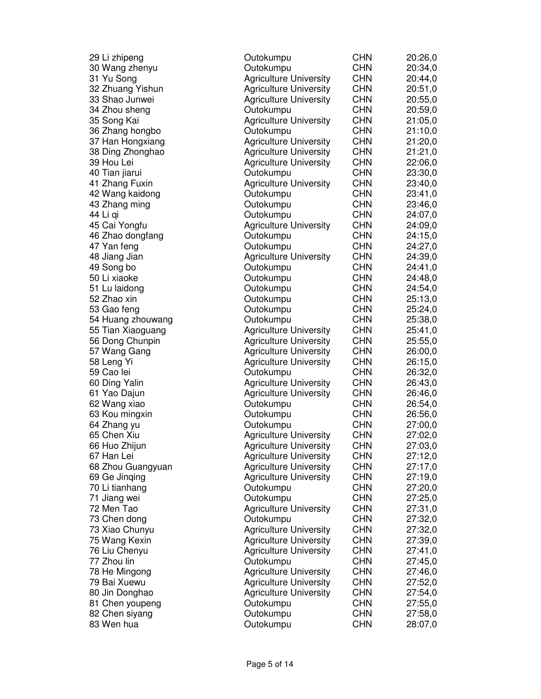| 29 Li zhipeng     | Outokumpu                     | <b>CHN</b>               | 20:26,0 |
|-------------------|-------------------------------|--------------------------|---------|
| 30 Wang zhenyu    | Outokumpu                     | <b>CHN</b>               | 20:34,0 |
| 31 Yu Song        | <b>Agriculture University</b> | <b>CHN</b>               | 20:44,0 |
| 32 Zhuang Yishun  | <b>Agriculture University</b> | <b>CHN</b>               | 20:51,0 |
| 33 Shao Junwei    | <b>Agriculture University</b> | <b>CHN</b>               | 20:55,0 |
| 34 Zhou sheng     | Outokumpu                     | <b>CHN</b>               | 20:59,0 |
| 35 Song Kai       | <b>Agriculture University</b> | <b>CHN</b>               | 21:05,0 |
| 36 Zhang hongbo   | Outokumpu                     | <b>CHN</b>               | 21:10,0 |
| 37 Han Hongxiang  | <b>Agriculture University</b> | <b>CHN</b>               | 21:20,0 |
| 38 Ding Zhonghao  | <b>Agriculture University</b> | <b>CHN</b>               | 21:21,0 |
| 39 Hou Lei        | <b>Agriculture University</b> | <b>CHN</b>               | 22:06,0 |
| 40 Tian jiarui    | Outokumpu                     | <b>CHN</b>               | 23:30,0 |
| 41 Zhang Fuxin    | <b>Agriculture University</b> | <b>CHN</b>               | 23:40,0 |
| 42 Wang kaidong   | Outokumpu                     | <b>CHN</b>               | 23:41,0 |
| 43 Zhang ming     | Outokumpu                     | <b>CHN</b>               | 23:46,0 |
| 44 Li gi          | Outokumpu                     | <b>CHN</b>               | 24:07,0 |
| 45 Cai Yongfu     | <b>Agriculture University</b> | <b>CHN</b>               | 24:09,0 |
| 46 Zhao dongfang  | Outokumpu                     | <b>CHN</b>               | 24:15,0 |
| 47 Yan feng       | Outokumpu                     | <b>CHN</b>               | 24:27,0 |
| 48 Jiang Jian     | <b>Agriculture University</b> | <b>CHN</b>               | 24:39,0 |
| 49 Song bo        | Outokumpu                     | <b>CHN</b>               | 24:41,0 |
| 50 Li xiaoke      | Outokumpu                     | <b>CHN</b>               | 24:48,0 |
| 51 Lu laidong     | Outokumpu                     | <b>CHN</b>               | 24:54,0 |
| 52 Zhao xin       | Outokumpu                     | <b>CHN</b>               | 25:13,0 |
| 53 Gao feng       | Outokumpu                     | <b>CHN</b>               | 25:24,0 |
| 54 Huang zhouwang | Outokumpu                     | <b>CHN</b>               | 25:38,0 |
| 55 Tian Xiaoguang | <b>Agriculture University</b> | <b>CHN</b>               | 25:41,0 |
| 56 Dong Chunpin   | <b>Agriculture University</b> | <b>CHN</b>               | 25:55,0 |
| 57 Wang Gang      | <b>Agriculture University</b> | <b>CHN</b>               | 26:00,0 |
| 58 Leng Yi        | <b>Agriculture University</b> | <b>CHN</b>               | 26:15,0 |
| 59 Cao lei        | Outokumpu                     | <b>CHN</b>               | 26:32,0 |
| 60 Ding Yalin     | <b>Agriculture University</b> | <b>CHN</b>               | 26:43,0 |
| 61 Yao Dajun      | <b>Agriculture University</b> | <b>CHN</b>               | 26:46,0 |
| 62 Wang xiao      | Outokumpu                     | <b>CHN</b>               | 26:54,0 |
| 63 Kou mingxin    | Outokumpu                     | <b>CHN</b>               | 26:56,0 |
| 64 Zhang yu       | Outokumpu                     | <b>CHN</b>               | 27:00,0 |
| 65 Chen Xiu       | <b>Agriculture University</b> | <b>CHN</b>               | 27:02,0 |
| 66 Huo Zhijun     | <b>Agriculture University</b> | <b>CHN</b>               | 27:03,0 |
| 67 Han Lei        | <b>Agriculture University</b> | <b>CHN</b>               | 27:12,0 |
| 68 Zhou Guangyuan | <b>Agriculture University</b> | <b>CHN</b>               | 27:17,0 |
| 69 Ge Jinging     | <b>Agriculture University</b> | <b>CHN</b>               | 27:19,0 |
| 70 Li tianhang    | Outokumpu                     | <b>CHN</b>               | 27:20,0 |
| 71 Jiang wei      | Outokumpu                     | <b>CHN</b>               | 27:25,0 |
| 72 Men Tao        | <b>Agriculture University</b> | <b>CHN</b>               | 27:31,0 |
| 73 Chen dong      | Outokumpu                     | <b>CHN</b>               | 27:32,0 |
| 73 Xiao Chunyu    | <b>Agriculture University</b> | <b>CHN</b>               | 27:32,0 |
|                   | <b>Agriculture University</b> |                          | 27:39,0 |
| 75 Wang Kexin     |                               | <b>CHN</b><br><b>CHN</b> |         |
| 76 Liu Chenyu     | <b>Agriculture University</b> |                          | 27:41,0 |
| 77 Zhou lin       | Outokumpu                     | <b>CHN</b>               | 27:45,0 |
| 78 He Mingong     | <b>Agriculture University</b> | <b>CHN</b>               | 27:46,0 |
| 79 Bai Xuewu      | <b>Agriculture University</b> | <b>CHN</b>               | 27:52,0 |
| 80 Jin Donghao    | <b>Agriculture University</b> | <b>CHN</b>               | 27:54,0 |
| 81 Chen youpeng   | Outokumpu                     | <b>CHN</b>               | 27:55,0 |
| 82 Chen siyang    | Outokumpu                     | <b>CHN</b>               | 27:58,0 |
| 83 Wen hua        | Outokumpu                     | <b>CHN</b>               | 28:07,0 |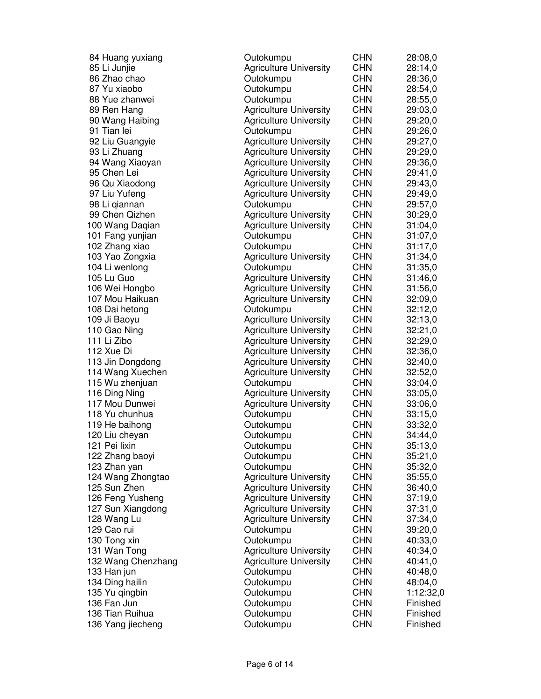| 84 Huang yuxiang   | Outokumpu                     | <b>CHN</b> | 28:08,0   |
|--------------------|-------------------------------|------------|-----------|
| 85 Li Junjie       | <b>Agriculture University</b> | <b>CHN</b> | 28:14,0   |
| 86 Zhao chao       | Outokumpu                     | <b>CHN</b> | 28:36,0   |
| 87 Yu xiaobo       | Outokumpu                     | <b>CHN</b> | 28:54,0   |
| 88 Yue zhanwei     | Outokumpu                     | <b>CHN</b> | 28:55,0   |
| 89 Ren Hang        | <b>Agriculture University</b> | <b>CHN</b> | 29:03,0   |
| 90 Wang Haibing    | <b>Agriculture University</b> | <b>CHN</b> | 29:20,0   |
| 91 Tian lei        | Outokumpu                     | <b>CHN</b> | 29:26,0   |
| 92 Liu Guangyie    | <b>Agriculture University</b> | <b>CHN</b> | 29:27,0   |
| 93 Li Zhuang       | <b>Agriculture University</b> | <b>CHN</b> | 29:29,0   |
| 94 Wang Xiaoyan    | <b>Agriculture University</b> | <b>CHN</b> | 29:36,0   |
| 95 Chen Lei        | <b>Agriculture University</b> | <b>CHN</b> | 29:41,0   |
| 96 Qu Xiaodong     | <b>Agriculture University</b> | <b>CHN</b> | 29:43,0   |
| 97 Liu Yufeng      | <b>Agriculture University</b> | <b>CHN</b> | 29:49,0   |
| 98 Li qiannan      | Outokumpu                     | <b>CHN</b> | 29:57,0   |
| 99 Chen Qizhen     | <b>Agriculture University</b> | <b>CHN</b> | 30:29,0   |
| 100 Wang Daqian    | <b>Agriculture University</b> | <b>CHN</b> | 31:04,0   |
| 101 Fang yunjian   | Outokumpu                     | <b>CHN</b> | 31:07,0   |
| 102 Zhang xiao     | Outokumpu                     | <b>CHN</b> | 31:17,0   |
| 103 Yao Zongxia    | <b>Agriculture University</b> | <b>CHN</b> | 31:34,0   |
| 104 Li wenlong     | Outokumpu                     | <b>CHN</b> | 31:35,0   |
| 105 Lu Guo         | <b>Agriculture University</b> | <b>CHN</b> | 31:46,0   |
| 106 Wei Hongbo     | <b>Agriculture University</b> | <b>CHN</b> | 31:56,0   |
| 107 Mou Haikuan    | <b>Agriculture University</b> | <b>CHN</b> | 32:09,0   |
| 108 Dai hetong     | Outokumpu                     | <b>CHN</b> | 32:12,0   |
| 109 Ji Baoyu       | <b>Agriculture University</b> | <b>CHN</b> | 32:13,0   |
| 110 Gao Ning       | <b>Agriculture University</b> | <b>CHN</b> | 32:21,0   |
| 111 Li Zibo        | <b>Agriculture University</b> | <b>CHN</b> | 32:29,0   |
| 112 Xue Di         | <b>Agriculture University</b> | <b>CHN</b> | 32:36,0   |
| 113 Jin Dongdong   | <b>Agriculture University</b> | <b>CHN</b> | 32:40,0   |
| 114 Wang Xuechen   | <b>Agriculture University</b> | <b>CHN</b> | 32:52,0   |
| 115 Wu zhenjuan    | Outokumpu                     | <b>CHN</b> | 33:04,0   |
| 116 Ding Ning      | <b>Agriculture University</b> | <b>CHN</b> | 33:05,0   |
| 117 Mou Dunwei     | <b>Agriculture University</b> | <b>CHN</b> | 33:06,0   |
| 118 Yu chunhua     | Outokumpu                     | <b>CHN</b> | 33:15,0   |
| 119 He baihong     | Outokumpu                     | <b>CHN</b> | 33:32,0   |
| 120 Liu cheyan     | Outokumpu                     | <b>CHN</b> | 34:44,0   |
| 121 Pei lixin      | Outokumpu                     | <b>CHN</b> | 35:13,0   |
| 122 Zhang baoyi    | Outokumpu                     | <b>CHN</b> | 35:21,0   |
| 123 Zhan yan       | Outokumpu                     | <b>CHN</b> | 35:32,0   |
| 124 Wang Zhongtao  | <b>Agriculture University</b> | <b>CHN</b> | 35:55,0   |
| 125 Sun Zhen       | <b>Agriculture University</b> | <b>CHN</b> | 36:40,0   |
| 126 Feng Yusheng   | <b>Agriculture University</b> | <b>CHN</b> | 37:19,0   |
| 127 Sun Xiangdong  | <b>Agriculture University</b> | <b>CHN</b> | 37:31,0   |
| 128 Wang Lu        | <b>Agriculture University</b> | <b>CHN</b> | 37:34,0   |
| 129 Cao rui        | Outokumpu                     | <b>CHN</b> | 39:20,0   |
| 130 Tong xin       | Outokumpu                     | <b>CHN</b> | 40:33,0   |
| 131 Wan Tong       | <b>Agriculture University</b> | <b>CHN</b> | 40:34,0   |
| 132 Wang Chenzhang | <b>Agriculture University</b> | <b>CHN</b> | 40:41,0   |
| 133 Han jun        | Outokumpu                     | <b>CHN</b> | 40:48,0   |
| 134 Ding hailin    | Outokumpu                     | <b>CHN</b> | 48:04,0   |
| 135 Yu qingbin     | Outokumpu                     | <b>CHN</b> | 1:12:32,0 |
| 136 Fan Jun        | Outokumpu                     | <b>CHN</b> | Finished  |
| 136 Tian Ruihua    | Outokumpu                     | <b>CHN</b> | Finished  |
| 136 Yang jiecheng  | Outokumpu                     | <b>CHN</b> | Finished  |
|                    |                               |            |           |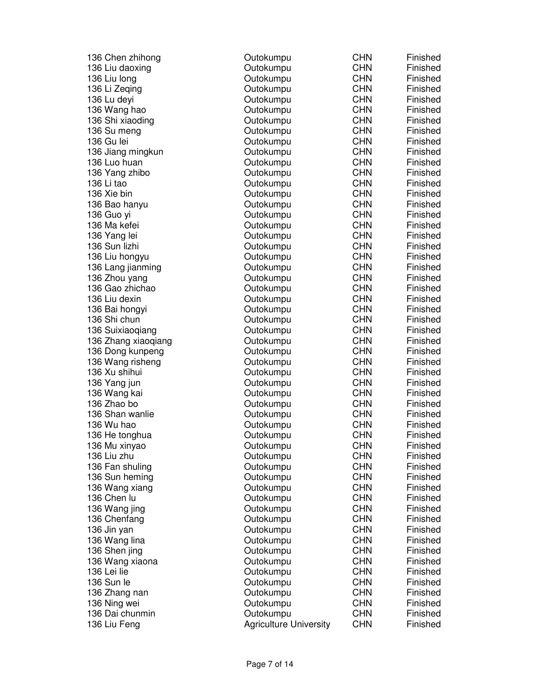| 136 Chen zhihong    | Outokumpu                     | <b>CHN</b> | Finished |
|---------------------|-------------------------------|------------|----------|
| 136 Liu daoxing     | Outokumpu                     | <b>CHN</b> | Finished |
| 136 Liu long        | Outokumpu                     | <b>CHN</b> | Finished |
| 136 Li Zeqing       | Outokumpu                     | <b>CHN</b> | Finished |
| 136 Lu deyi         | Outokumpu                     | <b>CHN</b> | Finished |
| 136 Wang hao        | Outokumpu                     | <b>CHN</b> | Finished |
| 136 Shi xiaoding    | Outokumpu                     | <b>CHN</b> | Finished |
| 136 Su meng         | Outokumpu                     | <b>CHN</b> | Finished |
| 136 Gu lei          | Outokumpu                     | <b>CHN</b> | Finished |
| 136 Jiang mingkun   | Outokumpu                     | <b>CHN</b> | Finished |
| 136 Luo huan        | Outokumpu                     | <b>CHN</b> | Finished |
| 136 Yang zhibo      | Outokumpu                     | <b>CHN</b> | Finished |
| 136 Li tao          | Outokumpu                     | <b>CHN</b> | Finished |
| 136 Xie bin         | Outokumpu                     | <b>CHN</b> | Finished |
| 136 Bao hanyu       | Outokumpu                     | <b>CHN</b> | Finished |
| 136 Guo yi          | Outokumpu                     | <b>CHN</b> | Finished |
| 136 Ma kefei        | Outokumpu                     | <b>CHN</b> | Finished |
| 136 Yang lei        | Outokumpu                     | <b>CHN</b> | Finished |
| 136 Sun lizhi       | Outokumpu                     | <b>CHN</b> | Finished |
| 136 Liu hongyu      | Outokumpu                     | <b>CHN</b> | Finished |
| 136 Lang jianming   | Outokumpu                     | <b>CHN</b> | Finished |
| 136 Zhou yang       | Outokumpu                     | <b>CHN</b> | Finished |
| 136 Gao zhichao     | Outokumpu                     | <b>CHN</b> | Finished |
| 136 Liu dexin       | Outokumpu                     | <b>CHN</b> | Finished |
| 136 Bai hongyi      | Outokumpu                     | <b>CHN</b> | Finished |
| 136 Shi chun        | Outokumpu                     | <b>CHN</b> | Finished |
| 136 Suixiaoqiang    | Outokumpu                     | <b>CHN</b> | Finished |
| 136 Zhang xiaoqiang | Outokumpu                     | <b>CHN</b> | Finished |
| 136 Dong kunpeng    | Outokumpu                     | <b>CHN</b> | Finished |
| 136 Wang risheng    | Outokumpu                     | <b>CHN</b> | Finished |
| 136 Xu shihui       | Outokumpu                     | <b>CHN</b> | Finished |
| 136 Yang jun        | Outokumpu                     | <b>CHN</b> | Finished |
| 136 Wang kai        | Outokumpu                     | <b>CHN</b> | Finished |
| 136 Zhao bo         | Outokumpu                     | <b>CHN</b> | Finished |
| 136 Shan wanlie     | Outokumpu                     | <b>CHN</b> | Finished |
| 136 Wu hao          | Outokumpu                     | <b>CHN</b> | Finished |
| 136 He tonghua      | Outokumpu                     | <b>CHN</b> | Finished |
| 136 Mu xinyao       | Outokumpu                     | <b>CHN</b> | Finished |
| 136 Liu zhu         | Outokumpu                     | <b>CHN</b> | Finished |
| 136 Fan shuling     | Outokumpu                     | <b>CHN</b> | Finished |
| 136 Sun heming      | Outokumpu                     | <b>CHN</b> | Finished |
| 136 Wang xiang      | Outokumpu                     | <b>CHN</b> | Finished |
| 136 Chen lu         |                               | <b>CHN</b> | Finished |
|                     | Outokumpu                     | <b>CHN</b> | Finished |
| 136 Wang jing       | Outokumpu                     | <b>CHN</b> | Finished |
| 136 Chenfang        | Outokumpu                     | <b>CHN</b> | Finished |
| 136 Jin yan         | Outokumpu                     | <b>CHN</b> |          |
| 136 Wang lina       | Outokumpu                     | <b>CHN</b> | Finished |
| 136 Shen jing       | Outokumpu                     |            | Finished |
| 136 Wang xiaona     | Outokumpu                     | <b>CHN</b> | Finished |
| 136 Lei lie         | Outokumpu                     | <b>CHN</b> | Finished |
| 136 Sun le          | Outokumpu                     | <b>CHN</b> | Finished |
| 136 Zhang nan       | Outokumpu                     | <b>CHN</b> | Finished |
| 136 Ning wei        | Outokumpu                     | <b>CHN</b> | Finished |
| 136 Dai chunmin     | Outokumpu                     | <b>CHN</b> | Finished |
| 136 Liu Feng        | <b>Agriculture University</b> | <b>CHN</b> | Finished |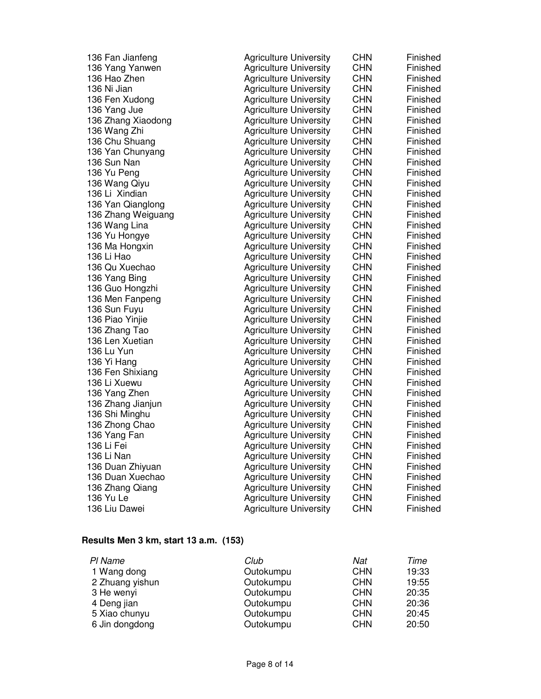| 136 Fan Jianfeng   | <b>Agriculture University</b> | <b>CHN</b> | Finished |
|--------------------|-------------------------------|------------|----------|
| 136 Yang Yanwen    | <b>Agriculture University</b> | <b>CHN</b> | Finished |
| 136 Hao Zhen       | <b>Agriculture University</b> | <b>CHN</b> | Finished |
| 136 Ni Jian        | <b>Agriculture University</b> | <b>CHN</b> | Finished |
| 136 Fen Xudong     | <b>Agriculture University</b> | <b>CHN</b> | Finished |
| 136 Yang Jue       | <b>Agriculture University</b> | <b>CHN</b> | Finished |
| 136 Zhang Xiaodong | <b>Agriculture University</b> | <b>CHN</b> | Finished |
| 136 Wang Zhi       | <b>Agriculture University</b> | <b>CHN</b> | Finished |
| 136 Chu Shuang     | <b>Agriculture University</b> | <b>CHN</b> | Finished |
| 136 Yan Chunyang   | <b>Agriculture University</b> | <b>CHN</b> | Finished |
| 136 Sun Nan        | <b>Agriculture University</b> | <b>CHN</b> | Finished |
| 136 Yu Peng        | <b>Agriculture University</b> | <b>CHN</b> | Finished |
| 136 Wang Qiyu      | <b>Agriculture University</b> | <b>CHN</b> | Finished |
| 136 Li Xindian     | <b>Agriculture University</b> | <b>CHN</b> | Finished |
| 136 Yan Qianglong  | <b>Agriculture University</b> | <b>CHN</b> | Finished |
| 136 Zhang Weiguang | <b>Agriculture University</b> | <b>CHN</b> | Finished |
| 136 Wang Lina      | <b>Agriculture University</b> | <b>CHN</b> | Finished |
| 136 Yu Hongye      | <b>Agriculture University</b> | <b>CHN</b> | Finished |
| 136 Ma Hongxin     | <b>Agriculture University</b> | <b>CHN</b> | Finished |
| 136 Li Hao         | <b>Agriculture University</b> | <b>CHN</b> | Finished |
| 136 Qu Xuechao     | <b>Agriculture University</b> | <b>CHN</b> | Finished |
| 136 Yang Bing      | <b>Agriculture University</b> | <b>CHN</b> | Finished |
| 136 Guo Hongzhi    | <b>Agriculture University</b> | <b>CHN</b> | Finished |
| 136 Men Fanpeng    | <b>Agriculture University</b> | <b>CHN</b> | Finished |
| 136 Sun Fuyu       | <b>Agriculture University</b> | <b>CHN</b> | Finished |
| 136 Piao Yinjie    | <b>Agriculture University</b> | <b>CHN</b> | Finished |
| 136 Zhang Tao      | <b>Agriculture University</b> | <b>CHN</b> | Finished |
| 136 Len Xuetian    | <b>Agriculture University</b> | <b>CHN</b> | Finished |
| 136 Lu Yun         | <b>Agriculture University</b> | <b>CHN</b> | Finished |
| 136 Yi Hang        | <b>Agriculture University</b> | <b>CHN</b> | Finished |
| 136 Fen Shixiang   | <b>Agriculture University</b> | <b>CHN</b> | Finished |
| 136 Li Xuewu       | <b>Agriculture University</b> | <b>CHN</b> | Finished |
| 136 Yang Zhen      | <b>Agriculture University</b> | <b>CHN</b> | Finished |
| 136 Zhang Jianjun  | <b>Agriculture University</b> | <b>CHN</b> | Finished |
| 136 Shi Minghu     | <b>Agriculture University</b> | <b>CHN</b> | Finished |
| 136 Zhong Chao     | <b>Agriculture University</b> | <b>CHN</b> | Finished |
| 136 Yang Fan       | <b>Agriculture University</b> | <b>CHN</b> | Finished |
| 136 Li Fei         | <b>Agriculture University</b> | <b>CHN</b> | Finished |
| 136 Li Nan         | <b>Agriculture University</b> | <b>CHN</b> | Finished |
| 136 Duan Zhiyuan   | <b>Agriculture University</b> | <b>CHN</b> | Finished |
| 136 Duan Xuechao   | <b>Agriculture University</b> | <b>CHN</b> | Finished |
| 136 Zhang Qiang    | <b>Agriculture University</b> | <b>CHN</b> | Finished |
| 136 Yu Le          | <b>Agriculture University</b> | <b>CHN</b> | Finished |
| 136 Liu Dawei      | <b>Agriculture University</b> | <b>CHN</b> | Finished |

#### **Results Men 3 km, start 13 a.m. (153)**

| PI Name         | Club      | Nat        | Time  |
|-----------------|-----------|------------|-------|
| 1 Wang dong     | Outokumpu | <b>CHN</b> | 19:33 |
| 2 Zhuang yishun | Outokumpu | <b>CHN</b> | 19:55 |
| 3 He wenyi      | Outokumpu | <b>CHN</b> | 20:35 |
| 4 Deng jian     | Outokumpu | <b>CHN</b> | 20:36 |
| 5 Xiao chunyu   | Outokumpu | <b>CHN</b> | 20:45 |
| 6 Jin dongdong  | Outokumpu | <b>CHN</b> | 20:50 |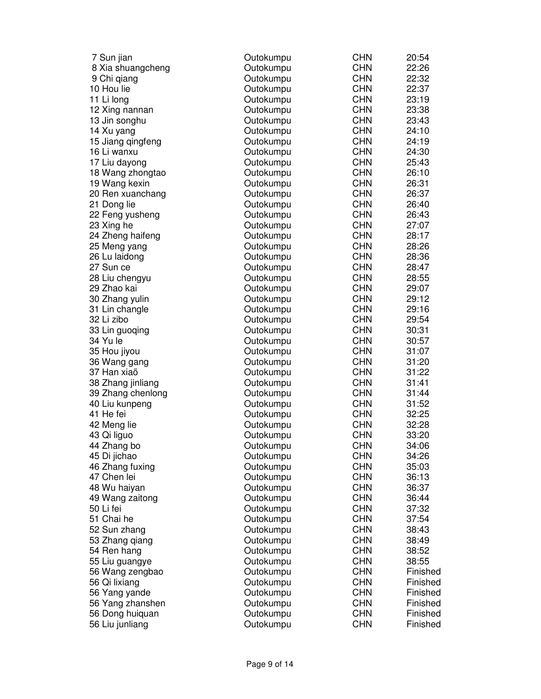| Outokumpu | <b>CHN</b>                                                                                                                                                                                                                                                                                                                                     | 20:54                                                                                                        |
|-----------|------------------------------------------------------------------------------------------------------------------------------------------------------------------------------------------------------------------------------------------------------------------------------------------------------------------------------------------------|--------------------------------------------------------------------------------------------------------------|
| Outokumpu | <b>CHN</b>                                                                                                                                                                                                                                                                                                                                     | 22:26                                                                                                        |
| Outokumpu | <b>CHN</b>                                                                                                                                                                                                                                                                                                                                     | 22:32                                                                                                        |
| Outokumpu | <b>CHN</b>                                                                                                                                                                                                                                                                                                                                     | 22:37                                                                                                        |
| Outokumpu | <b>CHN</b>                                                                                                                                                                                                                                                                                                                                     | 23:19                                                                                                        |
|           | <b>CHN</b>                                                                                                                                                                                                                                                                                                                                     | 23:38                                                                                                        |
| Outokumpu | <b>CHN</b>                                                                                                                                                                                                                                                                                                                                     | 23:43                                                                                                        |
|           | <b>CHN</b>                                                                                                                                                                                                                                                                                                                                     | 24:10                                                                                                        |
|           | <b>CHN</b>                                                                                                                                                                                                                                                                                                                                     | 24:19                                                                                                        |
| Outokumpu | <b>CHN</b>                                                                                                                                                                                                                                                                                                                                     | 24:30                                                                                                        |
| Outokumpu | <b>CHN</b>                                                                                                                                                                                                                                                                                                                                     | 25:43                                                                                                        |
| Outokumpu | <b>CHN</b>                                                                                                                                                                                                                                                                                                                                     | 26:10                                                                                                        |
| Outokumpu | <b>CHN</b>                                                                                                                                                                                                                                                                                                                                     | 26:31                                                                                                        |
|           | <b>CHN</b>                                                                                                                                                                                                                                                                                                                                     | 26:37                                                                                                        |
|           | <b>CHN</b>                                                                                                                                                                                                                                                                                                                                     | 26:40                                                                                                        |
| Outokumpu | <b>CHN</b>                                                                                                                                                                                                                                                                                                                                     | 26:43                                                                                                        |
| Outokumpu | <b>CHN</b>                                                                                                                                                                                                                                                                                                                                     | 27:07                                                                                                        |
|           | <b>CHN</b>                                                                                                                                                                                                                                                                                                                                     | 28:17                                                                                                        |
|           | <b>CHN</b>                                                                                                                                                                                                                                                                                                                                     | 28:26                                                                                                        |
|           |                                                                                                                                                                                                                                                                                                                                                | 28:36                                                                                                        |
|           | <b>CHN</b>                                                                                                                                                                                                                                                                                                                                     | 28:47                                                                                                        |
|           | <b>CHN</b>                                                                                                                                                                                                                                                                                                                                     | 28:55                                                                                                        |
|           |                                                                                                                                                                                                                                                                                                                                                | 29:07                                                                                                        |
|           | <b>CHN</b>                                                                                                                                                                                                                                                                                                                                     | 29:12                                                                                                        |
|           | <b>CHN</b>                                                                                                                                                                                                                                                                                                                                     | 29:16                                                                                                        |
|           | <b>CHN</b>                                                                                                                                                                                                                                                                                                                                     | 29:54                                                                                                        |
|           |                                                                                                                                                                                                                                                                                                                                                | 30:31                                                                                                        |
|           | <b>CHN</b>                                                                                                                                                                                                                                                                                                                                     | 30:57                                                                                                        |
|           |                                                                                                                                                                                                                                                                                                                                                | 31:07                                                                                                        |
|           |                                                                                                                                                                                                                                                                                                                                                | 31:20                                                                                                        |
|           |                                                                                                                                                                                                                                                                                                                                                | 31:22                                                                                                        |
|           | <b>CHN</b>                                                                                                                                                                                                                                                                                                                                     | 31:41                                                                                                        |
|           | <b>CHN</b>                                                                                                                                                                                                                                                                                                                                     | 31:44                                                                                                        |
|           |                                                                                                                                                                                                                                                                                                                                                | 31:52                                                                                                        |
|           | <b>CHN</b>                                                                                                                                                                                                                                                                                                                                     | 32:25                                                                                                        |
|           | <b>CHN</b>                                                                                                                                                                                                                                                                                                                                     | 32:28                                                                                                        |
|           |                                                                                                                                                                                                                                                                                                                                                | 33:20                                                                                                        |
|           | <b>CHN</b>                                                                                                                                                                                                                                                                                                                                     | 34:06                                                                                                        |
| Outokumpu | <b>CHN</b>                                                                                                                                                                                                                                                                                                                                     | 34:26                                                                                                        |
| Outokumpu | <b>CHN</b>                                                                                                                                                                                                                                                                                                                                     | 35:03                                                                                                        |
| Outokumpu | <b>CHN</b>                                                                                                                                                                                                                                                                                                                                     | 36:13                                                                                                        |
| Outokumpu | <b>CHN</b>                                                                                                                                                                                                                                                                                                                                     | 36:37                                                                                                        |
| Outokumpu | <b>CHN</b>                                                                                                                                                                                                                                                                                                                                     | 36:44                                                                                                        |
| Outokumpu | <b>CHN</b>                                                                                                                                                                                                                                                                                                                                     | 37:32                                                                                                        |
| Outokumpu | <b>CHN</b>                                                                                                                                                                                                                                                                                                                                     | 37:54                                                                                                        |
| Outokumpu | <b>CHN</b>                                                                                                                                                                                                                                                                                                                                     | 38:43                                                                                                        |
| Outokumpu | <b>CHN</b>                                                                                                                                                                                                                                                                                                                                     | 38:49                                                                                                        |
| Outokumpu | <b>CHN</b>                                                                                                                                                                                                                                                                                                                                     | 38:52                                                                                                        |
| Outokumpu | <b>CHN</b>                                                                                                                                                                                                                                                                                                                                     | 38:55                                                                                                        |
| Outokumpu | <b>CHN</b>                                                                                                                                                                                                                                                                                                                                     | Finished                                                                                                     |
| Outokumpu | <b>CHN</b>                                                                                                                                                                                                                                                                                                                                     | Finished                                                                                                     |
| Outokumpu | <b>CHN</b>                                                                                                                                                                                                                                                                                                                                     | Finished                                                                                                     |
| Outokumpu | <b>CHN</b>                                                                                                                                                                                                                                                                                                                                     | Finished                                                                                                     |
| Outokumpu | <b>CHN</b>                                                                                                                                                                                                                                                                                                                                     | Finished                                                                                                     |
| Outokumpu | <b>CHN</b>                                                                                                                                                                                                                                                                                                                                     | Finished                                                                                                     |
|           | Outokumpu<br>Outokumpu<br>Outokumpu<br>Outokumpu<br>Outokumpu<br>Outokumpu<br>Outokumpu<br>Outokumpu<br>Outokumpu<br>Outokumpu<br>Outokumpu<br>Outokumpu<br>Outokumpu<br>Outokumpu<br>Outokumpu<br>Outokumpu<br>Outokumpu<br>Outokumpu<br>Outokumpu<br>Outokumpu<br>Outokumpu<br>Outokumpu<br>Outokumpu<br>Outokumpu<br>Outokumpu<br>Outokumpu | <b>CHN</b><br><b>CHN</b><br><b>CHN</b><br><b>CHN</b><br><b>CHN</b><br><b>CHN</b><br><b>CHN</b><br><b>CHN</b> |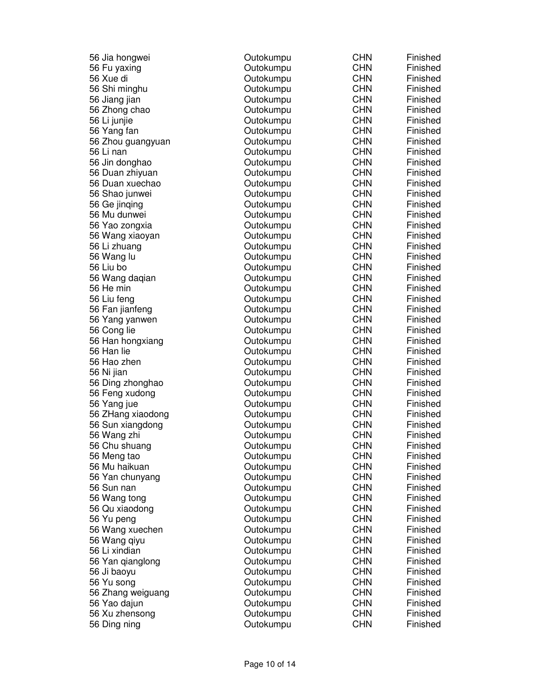| 56 Jia hongwei    | Outokumpu | <b>CHN</b> | Finished |
|-------------------|-----------|------------|----------|
| 56 Fu yaxing      | Outokumpu | <b>CHN</b> | Finished |
| 56 Xue di         | Outokumpu | <b>CHN</b> | Finished |
| 56 Shi minghu     | Outokumpu | <b>CHN</b> | Finished |
| 56 Jiang jian     | Outokumpu | <b>CHN</b> | Finished |
| 56 Zhong chao     | Outokumpu | <b>CHN</b> | Finished |
| 56 Li junjie      | Outokumpu | <b>CHN</b> | Finished |
| 56 Yang fan       | Outokumpu | <b>CHN</b> | Finished |
| 56 Zhou guangyuan | Outokumpu | <b>CHN</b> | Finished |
| 56 Li nan         | Outokumpu | <b>CHN</b> | Finished |
| 56 Jin donghao    | Outokumpu | <b>CHN</b> | Finished |
| 56 Duan zhiyuan   | Outokumpu | <b>CHN</b> | Finished |
| 56 Duan xuechao   | Outokumpu | <b>CHN</b> | Finished |
| 56 Shao junwei    | Outokumpu | <b>CHN</b> | Finished |
| 56 Ge jinging     | Outokumpu | <b>CHN</b> | Finished |
| 56 Mu dunwei      | Outokumpu | <b>CHN</b> | Finished |
| 56 Yao zongxia    | Outokumpu | <b>CHN</b> | Finished |
| 56 Wang xiaoyan   | Outokumpu | <b>CHN</b> | Finished |
| 56 Li zhuang      | Outokumpu | <b>CHN</b> | Finished |
| 56 Wang lu        | Outokumpu | <b>CHN</b> | Finished |
| 56 Liu bo         | Outokumpu | <b>CHN</b> | Finished |
| 56 Wang daqian    | Outokumpu | <b>CHN</b> | Finished |
| 56 He min         | Outokumpu | <b>CHN</b> | Finished |
| 56 Liu feng       | Outokumpu | <b>CHN</b> | Finished |
| 56 Fan jianfeng   | Outokumpu | <b>CHN</b> | Finished |
| 56 Yang yanwen    | Outokumpu | <b>CHN</b> | Finished |
| 56 Cong lie       | Outokumpu | <b>CHN</b> | Finished |
| 56 Han hongxiang  | Outokumpu | <b>CHN</b> | Finished |
| 56 Han lie        | Outokumpu | <b>CHN</b> | Finished |
| 56 Hao zhen       | Outokumpu | <b>CHN</b> | Finished |
| 56 Ni jian        | Outokumpu | <b>CHN</b> | Finished |
| 56 Ding zhonghao  | Outokumpu | <b>CHN</b> | Finished |
| 56 Feng xudong    | Outokumpu | <b>CHN</b> | Finished |
| 56 Yang jue       | Outokumpu | <b>CHN</b> | Finished |
| 56 ZHang xiaodong | Outokumpu | <b>CHN</b> | Finished |
| 56 Sun xiangdong  | Outokumpu | <b>CHN</b> | Finished |
| 56 Wang zhi       | Outokumpu | <b>CHN</b> | Finished |
| 56 Chu shuang     | Outokumpu | <b>CHN</b> | Finished |
| 56 Meng tao       | Outokumpu | <b>CHN</b> | Finished |
| 56 Mu haikuan     | Outokumpu | <b>CHN</b> | Finished |
| 56 Yan chunyang   | Outokumpu | <b>CHN</b> | Finished |
| 56 Sun nan        | Outokumpu | <b>CHN</b> | Finished |
| 56 Wang tong      | Outokumpu | <b>CHN</b> | Finished |
| 56 Qu xiaodong    | Outokumpu | <b>CHN</b> | Finished |
| 56 Yu peng        | Outokumpu | <b>CHN</b> | Finished |
| 56 Wang xuechen   | Outokumpu | <b>CHN</b> | Finished |
| 56 Wang qiyu      | Outokumpu | <b>CHN</b> | Finished |
| 56 Li xindian     | Outokumpu | <b>CHN</b> | Finished |
| 56 Yan qianglong  | Outokumpu | <b>CHN</b> | Finished |
| 56 Ji baoyu       | Outokumpu | <b>CHN</b> | Finished |
| 56 Yu song        | Outokumpu | <b>CHN</b> | Finished |
| 56 Zhang weiguang | Outokumpu | <b>CHN</b> | Finished |
| 56 Yao dajun      | Outokumpu | <b>CHN</b> | Finished |
|                   | Outokumpu | <b>CHN</b> | Finished |
| 56 Xu zhensong    |           | <b>CHN</b> | Finished |
| 56 Ding ning      | Outokumpu |            |          |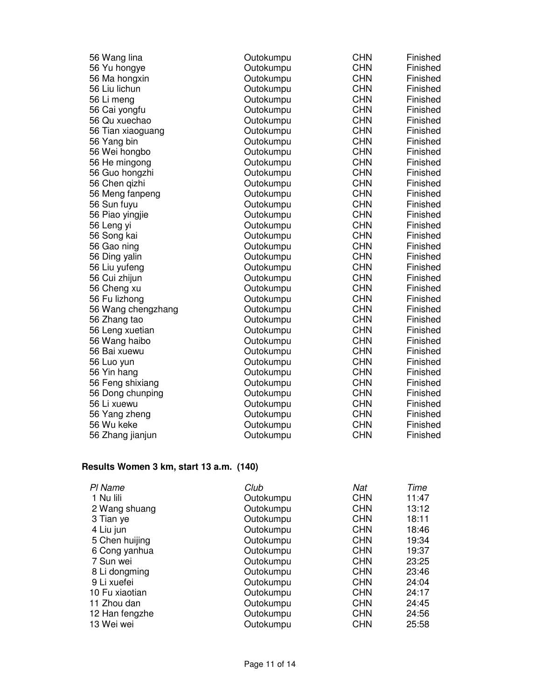| 56 Wang lina       | Outokumpu | <b>CHN</b> | Finished |
|--------------------|-----------|------------|----------|
| 56 Yu hongye       | Outokumpu | <b>CHN</b> | Finished |
| 56 Ma hongxin      | Outokumpu | <b>CHN</b> | Finished |
| 56 Liu lichun      | Outokumpu | <b>CHN</b> | Finished |
| 56 Li meng         | Outokumpu | <b>CHN</b> | Finished |
| 56 Cai yongfu      | Outokumpu | <b>CHN</b> | Finished |
| 56 Qu xuechao      | Outokumpu | <b>CHN</b> | Finished |
| 56 Tian xiaoguang  | Outokumpu | <b>CHN</b> | Finished |
| 56 Yang bin        | Outokumpu | <b>CHN</b> | Finished |
| 56 Wei hongbo      | Outokumpu | <b>CHN</b> | Finished |
| 56 He mingong      | Outokumpu | <b>CHN</b> | Finished |
| 56 Guo hongzhi     | Outokumpu | <b>CHN</b> | Finished |
| 56 Chen gizhi      | Outokumpu | <b>CHN</b> | Finished |
| 56 Meng fanpeng    | Outokumpu | <b>CHN</b> | Finished |
| 56 Sun fuyu        | Outokumpu | <b>CHN</b> | Finished |
| 56 Piao yingjie    | Outokumpu | <b>CHN</b> | Finished |
| 56 Leng yi         | Outokumpu | <b>CHN</b> | Finished |
| 56 Song kai        | Outokumpu | <b>CHN</b> | Finished |
| 56 Gao ning        | Outokumpu | <b>CHN</b> | Finished |
| 56 Ding yalin      | Outokumpu | <b>CHN</b> | Finished |
| 56 Liu yufeng      | Outokumpu | <b>CHN</b> | Finished |
| 56 Cui zhijun      | Outokumpu | <b>CHN</b> | Finished |
| 56 Cheng xu        | Outokumpu | <b>CHN</b> | Finished |
| 56 Fu lizhong      | Outokumpu | <b>CHN</b> | Finished |
| 56 Wang chengzhang | Outokumpu | <b>CHN</b> | Finished |
| 56 Zhang tao       | Outokumpu | <b>CHN</b> | Finished |
| 56 Leng xuetian    | Outokumpu | <b>CHN</b> | Finished |
| 56 Wang haibo      | Outokumpu | <b>CHN</b> | Finished |
| 56 Bai xuewu       | Outokumpu | <b>CHN</b> | Finished |
| 56 Luo yun         | Outokumpu | <b>CHN</b> | Finished |
| 56 Yin hang        | Outokumpu | <b>CHN</b> | Finished |
| 56 Feng shixiang   | Outokumpu | <b>CHN</b> | Finished |
| 56 Dong chunping   | Outokumpu | <b>CHN</b> | Finished |
| 56 Li xuewu        | Outokumpu | <b>CHN</b> | Finished |
| 56 Yang zheng      | Outokumpu | <b>CHN</b> | Finished |
| 56 Wu keke         | Outokumpu | <b>CHN</b> | Finished |
| 56 Zhang jianjun   | Outokumpu | <b>CHN</b> | Finished |

## **Results Women 3 km, start 13 a.m. (140)**

| PI Name        | Club      | Nat        | Time  |
|----------------|-----------|------------|-------|
| 1 Nu lili      | Outokumpu | <b>CHN</b> | 11:47 |
| 2 Wang shuang  | Outokumpu | <b>CHN</b> | 13:12 |
| 3 Tian ye      | Outokumpu | <b>CHN</b> | 18:11 |
| 4 Liu jun      | Outokumpu | <b>CHN</b> | 18:46 |
| 5 Chen huijing | Outokumpu | <b>CHN</b> | 19:34 |
| 6 Cong yanhua  | Outokumpu | <b>CHN</b> | 19:37 |
| 7 Sun wei      | Outokumpu | <b>CHN</b> | 23:25 |
| 8 Li dongming  | Outokumpu | <b>CHN</b> | 23:46 |
| 9 Li xuefei    | Outokumpu | <b>CHN</b> | 24:04 |
| 10 Fu xiaotian | Outokumpu | <b>CHN</b> | 24:17 |
| 11 Zhou dan    | Outokumpu | <b>CHN</b> | 24:45 |
| 12 Han fengzhe | Outokumpu | <b>CHN</b> | 24:56 |
| 13 Wei wei     | Outokumpu | <b>CHN</b> | 25:58 |
|                |           |            |       |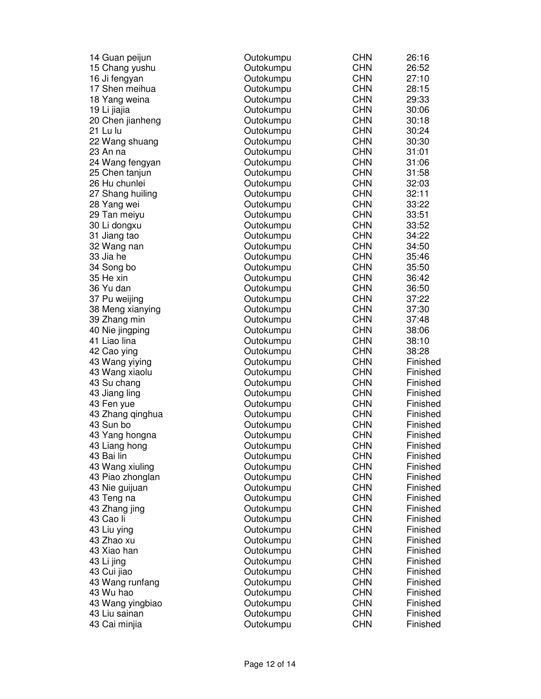| 14 Guan peijun   | Outokumpu | <b>CHN</b> | 26:16    |
|------------------|-----------|------------|----------|
| 15 Chang yushu   | Outokumpu | <b>CHN</b> | 26:52    |
| 16 Ji fengyan    | Outokumpu | <b>CHN</b> | 27:10    |
| 17 Shen meihua   | Outokumpu | <b>CHN</b> | 28:15    |
| 18 Yang weina    | Outokumpu | <b>CHN</b> | 29:33    |
| 19 Li jiajia     | Outokumpu | <b>CHN</b> | 30:06    |
| 20 Chen jianheng | Outokumpu | <b>CHN</b> | 30:18    |
| 21 Lu lu         | Outokumpu | <b>CHN</b> | 30:24    |
| 22 Wang shuang   | Outokumpu | <b>CHN</b> | 30:30    |
| 23 An na         | Outokumpu | <b>CHN</b> | 31:01    |
| 24 Wang fengyan  | Outokumpu | <b>CHN</b> | 31:06    |
| 25 Chen tanjun   | Outokumpu | <b>CHN</b> | 31:58    |
| 26 Hu chunlei    | Outokumpu | <b>CHN</b> | 32:03    |
| 27 Shang huiling | Outokumpu | <b>CHN</b> | 32:11    |
| 28 Yang wei      | Outokumpu | <b>CHN</b> | 33:22    |
| 29 Tan meiyu     | Outokumpu | <b>CHN</b> | 33:51    |
| 30 Li dongxu     | Outokumpu | <b>CHN</b> | 33:52    |
| 31 Jiang tao     | Outokumpu | <b>CHN</b> | 34:22    |
| 32 Wang nan      | Outokumpu | <b>CHN</b> | 34:50    |
| 33 Jia he        | Outokumpu | <b>CHN</b> | 35:46    |
| 34 Song bo       | Outokumpu | <b>CHN</b> | 35:50    |
| 35 He xin        | Outokumpu | <b>CHN</b> | 36:42    |
| 36 Yu dan        | Outokumpu | <b>CHN</b> | 36:50    |
| 37 Pu weijing    | Outokumpu | <b>CHN</b> | 37:22    |
| 38 Meng xianying | Outokumpu | <b>CHN</b> | 37:30    |
| 39 Zhang min     | Outokumpu | <b>CHN</b> | 37:48    |
| 40 Nie jingping  | Outokumpu | <b>CHN</b> | 38:06    |
| 41 Liao lina     | Outokumpu | <b>CHN</b> | 38:10    |
|                  |           | <b>CHN</b> | 38:28    |
| 42 Cao ying      | Outokumpu | <b>CHN</b> | Finished |
| 43 Wang yiying   | Outokumpu | <b>CHN</b> |          |
| 43 Wang xiaolu   | Outokumpu | <b>CHN</b> | Finished |
| 43 Su chang      | Outokumpu |            | Finished |
| 43 Jiang ling    | Outokumpu | <b>CHN</b> | Finished |
| 43 Fen yue       | Outokumpu | <b>CHN</b> | Finished |
| 43 Zhang qinghua | Outokumpu | <b>CHN</b> | Finished |
| 43 Sun bo        | Outokumpu | <b>CHN</b> | Finished |
| 43 Yang hongna   | Outokumpu | <b>CHN</b> | Finished |
| 43 Liang hong    | Outokumpu | <b>CHN</b> | Finished |
| 43 Bai lin       | Outokumpu | <b>CHN</b> | Finished |
| 43 Wang xiuling  | Outokumpu | <b>CHN</b> | Finished |
| 43 Piao zhonglan | Outokumpu | <b>CHN</b> | Finished |
| 43 Nie guijuan   | Outokumpu | <b>CHN</b> | Finished |
| 43 Teng na       | Outokumpu | <b>CHN</b> | Finished |
| 43 Zhang jing    | Outokumpu | <b>CHN</b> | Finished |
| 43 Cao li        | Outokumpu | <b>CHN</b> | Finished |
| 43 Liu ying      | Outokumpu | <b>CHN</b> | Finished |
| 43 Zhao xu       | Outokumpu | <b>CHN</b> | Finished |
| 43 Xiao han      | Outokumpu | <b>CHN</b> | Finished |
| 43 Li jing       | Outokumpu | <b>CHN</b> | Finished |
| 43 Cui jiao      | Outokumpu | <b>CHN</b> | Finished |
| 43 Wang runfang  | Outokumpu | <b>CHN</b> | Finished |
| 43 Wu hao        | Outokumpu | <b>CHN</b> | Finished |
| 43 Wang yingbiao | Outokumpu | <b>CHN</b> | Finished |
| 43 Liu sainan    | Outokumpu | <b>CHN</b> | Finished |
| 43 Cai minjia    | Outokumpu | <b>CHN</b> | Finished |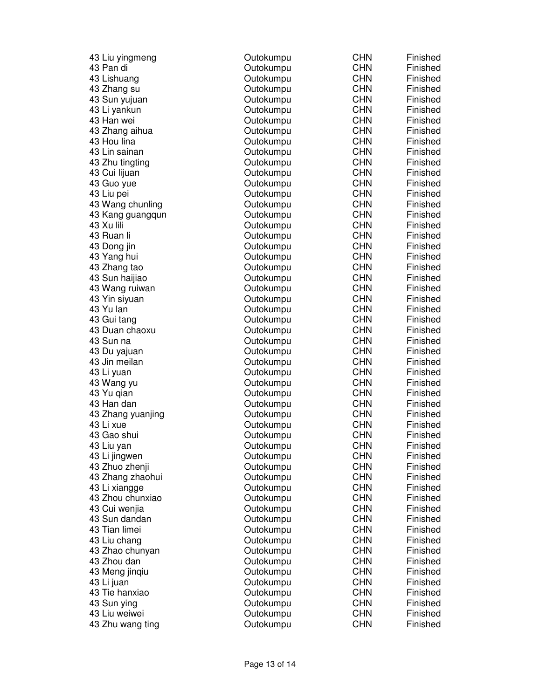| 43 Liu yingmeng   | Outokumpu | <b>CHN</b> | Finished |
|-------------------|-----------|------------|----------|
| 43 Pan di         | Outokumpu | <b>CHN</b> | Finished |
| 43 Lishuang       | Outokumpu | <b>CHN</b> | Finished |
| 43 Zhang su       | Outokumpu | <b>CHN</b> | Finished |
| 43 Sun yujuan     | Outokumpu | <b>CHN</b> | Finished |
| 43 Li yankun      | Outokumpu | <b>CHN</b> | Finished |
| 43 Han wei        | Outokumpu | <b>CHN</b> | Finished |
| 43 Zhang aihua    | Outokumpu | <b>CHN</b> | Finished |
| 43 Hou lina       | Outokumpu | <b>CHN</b> | Finished |
| 43 Lin sainan     | Outokumpu | <b>CHN</b> | Finished |
| 43 Zhu tingting   | Outokumpu | <b>CHN</b> | Finished |
| 43 Cui lijuan     | Outokumpu | <b>CHN</b> | Finished |
| 43 Guo yue        | Outokumpu | <b>CHN</b> | Finished |
| 43 Liu pei        | Outokumpu | <b>CHN</b> | Finished |
| 43 Wang chunling  | Outokumpu | <b>CHN</b> | Finished |
| 43 Kang guangqun  | Outokumpu | <b>CHN</b> | Finished |
| 43 Xu lili        | Outokumpu | <b>CHN</b> | Finished |
| 43 Ruan li        | Outokumpu | <b>CHN</b> | Finished |
| 43 Dong jin       | Outokumpu | <b>CHN</b> | Finished |
| 43 Yang hui       | Outokumpu | <b>CHN</b> | Finished |
| 43 Zhang tao      | Outokumpu | <b>CHN</b> | Finished |
| 43 Sun haijiao    | Outokumpu | <b>CHN</b> | Finished |
| 43 Wang ruiwan    | Outokumpu | <b>CHN</b> | Finished |
| 43 Yin siyuan     | Outokumpu | <b>CHN</b> | Finished |
| 43 Yu lan         | Outokumpu | <b>CHN</b> | Finished |
| 43 Gui tang       | Outokumpu | <b>CHN</b> | Finished |
| 43 Duan chaoxu    | Outokumpu | <b>CHN</b> | Finished |
| 43 Sun na         | Outokumpu | <b>CHN</b> | Finished |
| 43 Du yajuan      | Outokumpu | <b>CHN</b> | Finished |
| 43 Jin meilan     | Outokumpu | <b>CHN</b> | Finished |
| 43 Li yuan        | Outokumpu | <b>CHN</b> | Finished |
| 43 Wang yu        | Outokumpu | <b>CHN</b> | Finished |
| 43 Yu qian        | Outokumpu | <b>CHN</b> | Finished |
| 43 Han dan        | Outokumpu | <b>CHN</b> | Finished |
| 43 Zhang yuanjing | Outokumpu | <b>CHN</b> | Finished |
| 43 Li xue         | Outokumpu | <b>CHN</b> | Finished |
| 43 Gao shui       | Outokumpu | <b>CHN</b> | Finished |
| 43 Liu yan        | Outokumpu | <b>CHN</b> | Finished |
| 43 Li jingwen     | Outokumpu | <b>CHN</b> | Finished |
| 43 Zhuo zhenji    | Outokumpu | <b>CHN</b> | Finished |
| 43 Zhang zhaohui  | Outokumpu | <b>CHN</b> | Finished |
| 43 Li xiangge     | Outokumpu | <b>CHN</b> | Finished |
| 43 Zhou chunxiao  | Outokumpu | <b>CHN</b> | Finished |
| 43 Cui wenjia     | Outokumpu | <b>CHN</b> | Finished |
| 43 Sun dandan     | Outokumpu | <b>CHN</b> | Finished |
| 43 Tian limei     | Outokumpu | <b>CHN</b> | Finished |
| 43 Liu chang      | Outokumpu | <b>CHN</b> | Finished |
| 43 Zhao chunyan   | Outokumpu | <b>CHN</b> | Finished |
| 43 Zhou dan       | Outokumpu | <b>CHN</b> | Finished |
| 43 Meng jinqiu    | Outokumpu | <b>CHN</b> | Finished |
| 43 Li juan        | Outokumpu | <b>CHN</b> | Finished |
| 43 Tie hanxiao    | Outokumpu | <b>CHN</b> | Finished |
| 43 Sun ying       | Outokumpu | <b>CHN</b> | Finished |
| 43 Liu weiwei     | Outokumpu | <b>CHN</b> | Finished |
| 43 Zhu wang ting  | Outokumpu | <b>CHN</b> | Finished |
|                   |           |            |          |